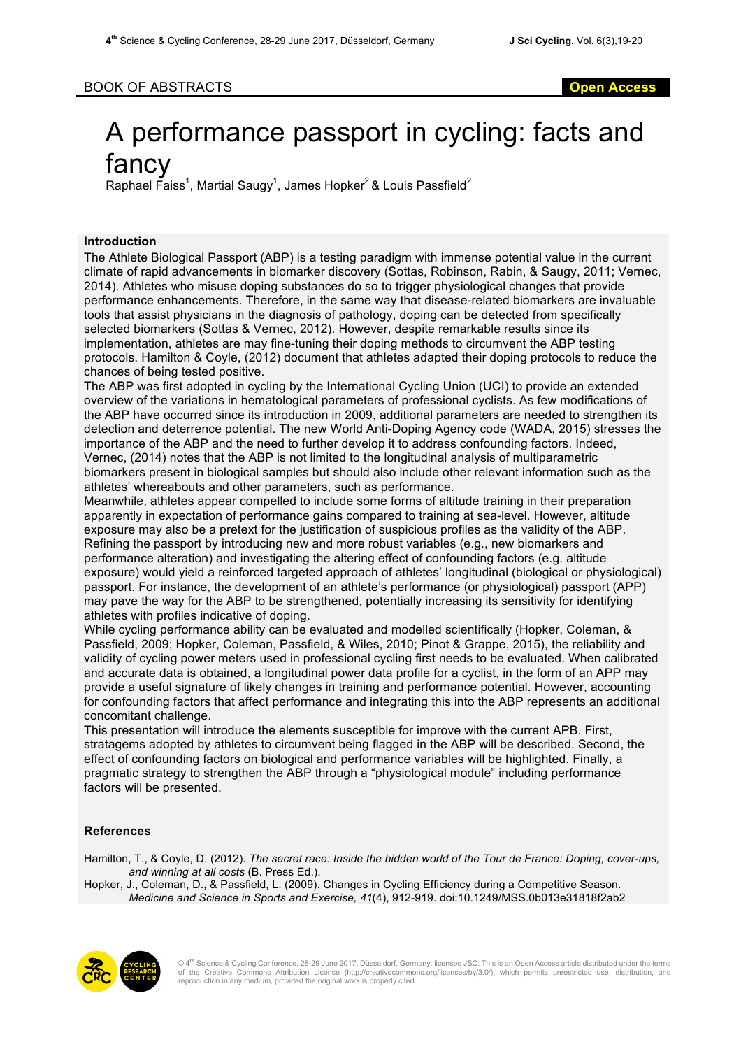## BOOK OF ABSTRACTS **Open Access**

# A performance passport in cycling: facts and fancy

Raphael Faiss<sup>1</sup>, Martial Saugy<sup>1</sup>, James Hopker<sup>2</sup> & Louis Passfield<sup>2</sup>

### **Introduction**

The Athlete Biological Passport (ABP) is a testing paradigm with immense potential value in the current climate of rapid advancements in biomarker discovery (Sottas, Robinson, Rabin, & Saugy, 2011; Vernec, 2014). Athletes who misuse doping substances do so to trigger physiological changes that provide performance enhancements. Therefore, in the same way that disease-related biomarkers are invaluable tools that assist physicians in the diagnosis of pathology, doping can be detected from specifically selected biomarkers (Sottas & Vernec, 2012). However, despite remarkable results since its implementation, athletes are may fine-tuning their doping methods to circumvent the ABP testing protocols. Hamilton & Coyle, (2012) document that athletes adapted their doping protocols to reduce the chances of being tested positive.

The ABP was first adopted in cycling by the International Cycling Union (UCI) to provide an extended overview of the variations in hematological parameters of professional cyclists. As few modifications of the ABP have occurred since its introduction in 2009, additional parameters are needed to strengthen its detection and deterrence potential. The new World Anti-Doping Agency code (WADA, 2015) stresses the importance of the ABP and the need to further develop it to address confounding factors. Indeed, Vernec, (2014) notes that the ABP is not limited to the longitudinal analysis of multiparametric biomarkers present in biological samples but should also include other relevant information such as the athletes' whereabouts and other parameters, such as performance.

Meanwhile, athletes appear compelled to include some forms of altitude training in their preparation apparently in expectation of performance gains compared to training at sea-level. However, altitude exposure may also be a pretext for the justification of suspicious profiles as the validity of the ABP. Refining the passport by introducing new and more robust variables (e.g., new biomarkers and performance alteration) and investigating the altering effect of confounding factors (e.g. altitude exposure) would yield a reinforced targeted approach of athletes' longitudinal (biological or physiological) passport. For instance, the development of an athlete's performance (or physiological) passport (APP) may pave the way for the ABP to be strengthened, potentially increasing its sensitivity for identifying athletes with profiles indicative of doping.

While cycling performance ability can be evaluated and modelled scientifically (Hopker, Coleman, & Passfield, 2009; Hopker, Coleman, Passfield, & Wiles, 2010; Pinot & Grappe, 2015), the reliability and validity of cycling power meters used in professional cycling first needs to be evaluated. When calibrated and accurate data is obtained, a longitudinal power data profile for a cyclist, in the form of an APP may provide a useful signature of likely changes in training and performance potential. However, accounting for confounding factors that affect performance and integrating this into the ABP represents an additional concomitant challenge.

This presentation will introduce the elements susceptible for improve with the current APB. First, stratagems adopted by athletes to circumvent being flagged in the ABP will be described. Second, the effect of confounding factors on biological and performance variables will be highlighted. Finally, a pragmatic strategy to strengthen the ABP through a "physiological module" including performance factors will be presented.

### **References**

Hamilton, T., & Coyle, D. (2012). *The secret race: Inside the hidden world of the Tour de France: Doping, cover-ups, and winning at all costs* (B. Press Ed.).

Hopker, J., Coleman, D., & Passfield, L. (2009). Changes in Cycling Efficiency during a Competitive Season. *Medicine and Science in Sports and Exercise, 41*(4), 912-919. doi:10.1249/MSS.0b013e31818f2ab2



© **4th** Science & Cycling Conference, 28-29 June 2017, Düsseldorf, Germany. licensee JSC. This is an Open Access article distributed under the terms of the Creative Commons Attribution License (http://creativecommons.org/licenses/by/3.0/), which permits unrestricted use, distribution, and reproduction in any medium, provided the original work is properly cited.